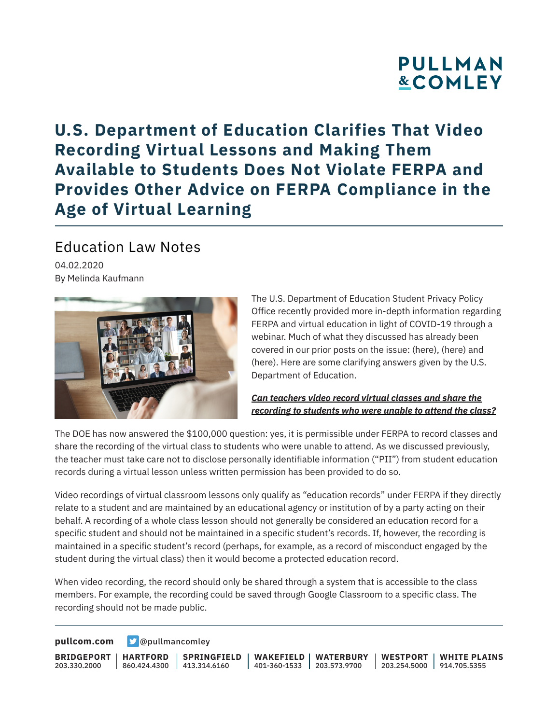# **PULLMAN &COMLEY**

## **U.S. Department of Education Clarifies That Video Recording Virtual Lessons and Making Them Available to Students Does Not Violate FERPA and Provides Other Advice on FERPA Compliance in the Age of Virtual Learning**

## Education Law Notes

04.02.2020 By Melinda Kaufmann



The U.S. Department of Education Student Privacy Policy Office recently provided more in-depth information regarding FERPA and virtual education in light of COVID-19 through a webinar. Much of what they discussed has already been covered in our prior posts on the issue: (here), (here) and (here). Here are some clarifying answers given by the U.S. Department of Education.

### *Can teachers video record virtual classes and share the recording to students who were unable to attend the class?*

The DOE has now answered the \$100,000 question: yes, it is permissible under FERPA to record classes and share the recording of the virtual class to students who were unable to attend. As we discussed previously, the teacher must take care not to disclose personally identifiable information ("PII") from student education records during a virtual lesson unless written permission has been provided to do so.

Video recordings of virtual classroom lessons only qualify as "education records" under FERPA if they directly relate to a student and are maintained by an educational agency or institution of by a party acting on their behalf. A recording of a whole class lesson should not generally be considered an education record for a specific student and should not be maintained in a specific student's records. If, however, the recording is maintained in a specific student's record (perhaps, for example, as a record of misconduct engaged by the student during the virtual class) then it would become a protected education record.

When video recording, the record should only be shared through a system that is accessible to the class members. For example, the recording could be saved through Google Classroom to a specific class. The recording should not be made public.

**[pullcom.com](https://www.pullcom.com) g** [@pullmancomley](https://twitter.com/PullmanComley)

**BRIDGEPORT** 203.330.2000

**HARTFORD**

860.424.4300 413.314.6160 **SPRINGFIELD** **WAKEFIELD WATERBURY** 401-360-1533 203.573.9700